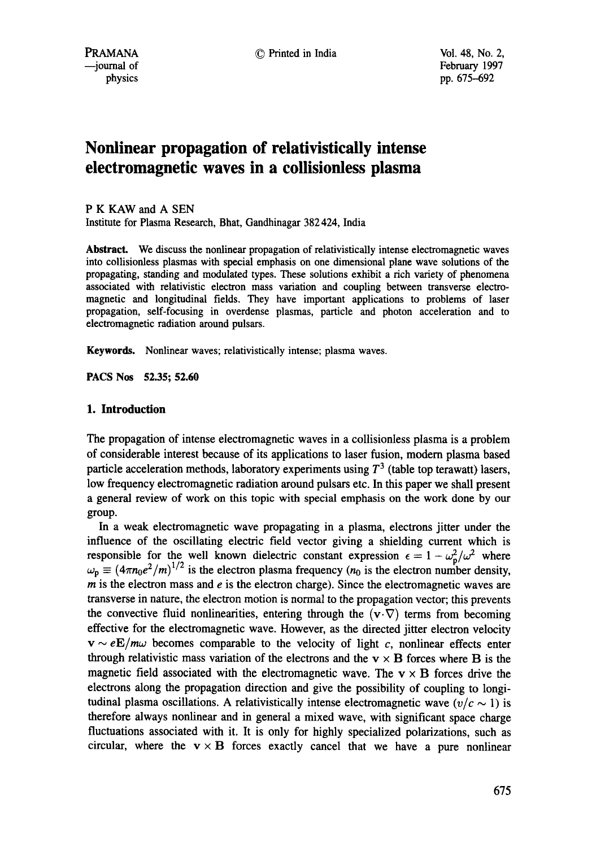# **Nonlinear propagation of relativistically intense electromagnetic waves in a collisionless plasma**

P K KAW and A SEN Institute for Plasma Research, Bhat, Gandhinagar 382 424, India

**Abstract.** We discuss the nonlinear propagation of relativistically intense electromagnetic waves into collisionless plasmas with special emphasis on one dimensional plane wave solutions of the propagating, standing and modulated types. These solutions exhibit a rich variety of phenomena associated with relativistic electron mass variation and coupling between transverse electromagnetic and longitudinal fields. They have important applications to problems of laser propagation, self-focusing in overdense plasmas, particle and photon acceleration and to electromagnetic radiation around pulsars.

Keywords. Nonlinear waves; relativistically intense; plasma waves.

**PACS Nos 52.35; 52.60** 

## **1. Introduction**

The propagation of intense electromagnetic waves in a collisionless plasma is a problem of considerable interest because of its applications to laser fusion, modem plasma based particle acceleration methods, laboratory experiments using  $T<sup>3</sup>$  (table top terawatt) lasers, low frequency electromagnetic radiation around pulsars etc. In this paper we shall present a general review of work on this topic with special emphasis on the work done by our group.

In a weak electromagnetic wave propagating in a plasma, electrons jitter under the influence of the oscillating electric field vector giving a shielding current which is responsible for the well known dielectric constant expression  $\epsilon = 1 - \omega_n^2/\omega^2$  where  $\omega_p \equiv (4\pi n_0 e^2/m)^{1/2}$  is the electron plasma frequency ( $n_0$  is the electron number density,  $m$  is the electron mass and  $e$  is the electron charge). Since the electromagnetic waves are transverse in nature, the electron motion is normal to the propagation vector; this prevents the convective fluid nonlinearities, entering through the  $(v \cdot \nabla)$  terms from becoming effective for the electromagnetic wave. However, as the directed jitter electron velocity  $v \sim eE/m\omega$  becomes comparable to the velocity of light c, nonlinear effects enter through relativistic mass variation of the electrons and the  $v \times B$  forces where B is the magnetic field associated with the electromagnetic wave. The  $v \times B$  forces drive the electrons along the propagation direction and give the possibility of coupling to longitudinal plasma oscillations. A relativistically intense electromagnetic wave  $(v/c \sim 1)$  is therefore always nonlinear and in general a mixed wave, with significant space charge fluctuations associated with it. It is only for highly specialized polarizations, such as circular, where the  $v \times B$  forces exactly cancel that we have a pure nonlinear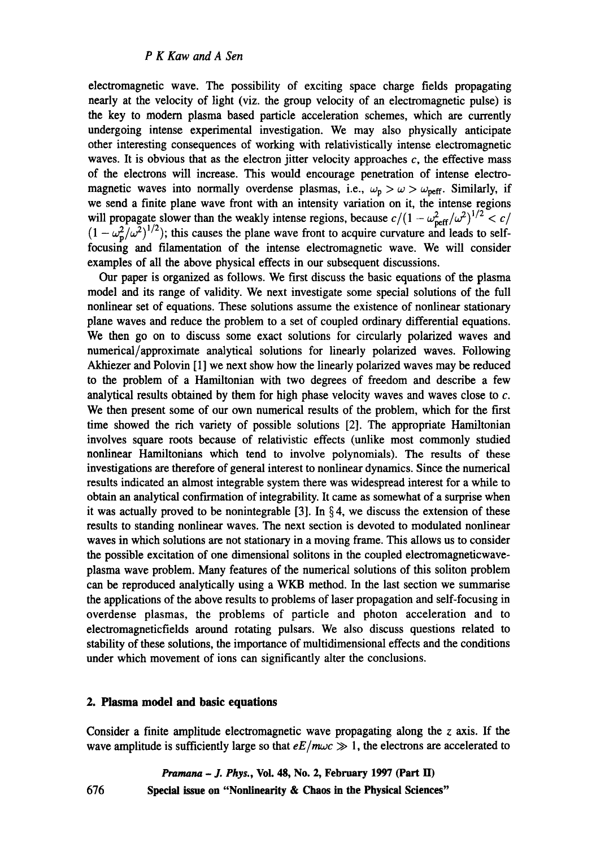electromagnetic wave. The possibility of exciting space charge fields propagating nearly at the velocity of light (viz. the group velocity of an electromagnetic pulse) is the key to modem plasma based particle acceleration schemes, which are currently undergoing intense experimental investigation. We may also physically anticipate other interesting consequences of working with relativistically intense electromagnetic waves. It is obvious that as the electron jitter velocity approaches  $c$ , the effective mass of the electrons will increase. This would encourage penetration of intense electromagnetic waves into normally overdense plasmas, i.e.,  $\omega_{\rm p} > \omega > \omega_{\rm perf}$ . Similarly, if we send a finite plane wave front with an intensity variation on it, the intense regions will propagate slower than the weakly intense regions, because  $c/(1 - \omega_{\text{reff}}^2/\omega^2)^{1/2} < c/$  $(1 - \omega_n^2/\omega^2)^{1/2}$ ; this causes the plane wave front to acquire curvature and leads to selffocusing and filamentation of the intense electromagnetic wave. We will consider examples of all the above physical effects in our subsequent discussions.

Our paper is organized as follows. We first discuss the basic equations of the plasma model and its range of validity. We next investigate some special solutions of the full nonlinear set of equations. These solutions assume the existence of nonlinear stationary plane waves and reduce the problem to a set of coupled ordinary differential equations. We then go on to discuss some exact solutions for circularly polarized waves and numerical/approximate analytical solutions for linearly polarized waves. Following Akhiezer and Polovin [1] we next show how the linearly polarized waves may be reduced to the problem of a Hamiltonian with two degrees of freedom and describe a few analytical results obtained by them for high phase velocity waves and waves close to  $c$ . We then present some of our own numerical results of the problem, which for the first time showed the rich variety of possible solutions [2]. The appropriate Hamiltonian involves square roots because of relativistic effects (unlike most commonly studied nonlinear Hamiltonians which tend to involve polynomials). The results of these investigations are therefore of general interest to nonlinear dynamics. Since the numerical results indicated an almost integrable system there was widespread interest for a while to obtain an analytical confirmation of integrability. It came as somewhat of a surprise when it was actually proved to be nonintegrable [3]. In  $\S 4$ , we discuss the extension of these results to standing nonlinear waves. The next section is devoted to modulated nonlinear waves in which solutions are not stationary in a moving frame. This allows us to consider the possible excitation of one dimensional solitons in the coupled electromagneticwaveplasma wave problem. Many features of the numerical solutions of this soliton problem can be reproduced analytically using a WKB method. In the last section we summarise the applications of the above results to problems of laser propagation and self-focusing in overdense plasmas, the problems of particle and photon acceleration and to electromagneticfields around rotating pulsars. We also discuss questions related to stability of these solutions, the importance of multidimensional effects and the conditions under which movement of ions can significantly alter the conclusions.

## **2. Plasma model and basic equations**

Consider a finite amplitude electromagnetic wave propagating along the  $\zeta$  axis. If the wave amplitude is sufficiently large so that  $eE/m\omega c \gg 1$ , the electrons are accelerated to

*Pramana - J. Phys.,* Vol. 48, No. 2, February 1997 (Part II) **676 Special issue on "Nonlinearity & Chaos in the Physical Sciences"**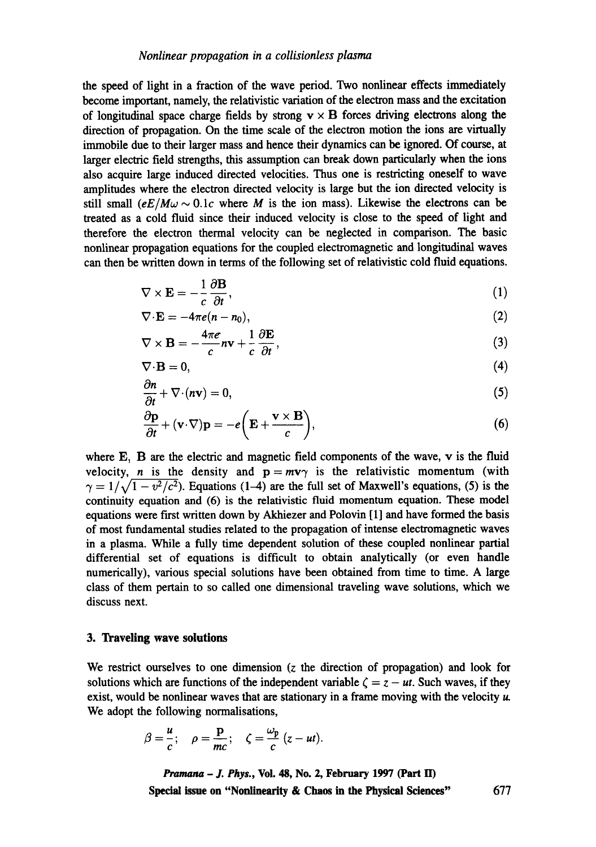the speed of light in a fraction of the wave period. Two nonlinear effects immediately become important, namely, the relativistic variation of the electron mass and the excitation of longitudinal space charge fields by strong  $v \times B$  forces driving electrons along the direction of propagation. On the time scale of the electron motion the ions are virtually immobile due to their larger mass and hence their dynamics can be ignored. Of course, at larger electric field strengths, this assumption can break down particularly when the ions also acquire large induced directed velocities. Thus one is restricting oneself to wave amplitudes where the electron directed velocity is large but the ion directed velocity is still small  $(eE/M\omega \sim 0.1c$  where M is the ion mass). Likewise the electrons can be treated as a cold fluid since their induced velocity is close to the speed of light and therefore the electron thermal velocity can be neglected in comparison. The basic nonlinear propagation equations for the coupled electromagnetic and longitudinal waves can then be written down in terms of the following set of relativistic cold fluid equations.

$$
\nabla \times \mathbf{E} = -\frac{1}{c} \frac{\partial \mathbf{B}}{\partial t},\tag{1}
$$

$$
\nabla \cdot \mathbf{E} = -4\pi e(n - n_0),\tag{2}
$$

$$
\nabla \times \mathbf{B} = -\frac{4\pi e}{c} n \mathbf{v} + \frac{1}{c} \frac{\partial \mathbf{E}}{\partial t},
$$
 (3)

$$
\nabla \cdot \mathbf{B} = 0,\tag{4}
$$

$$
\frac{\partial n}{\partial t} + \nabla \cdot (n\mathbf{v}) = 0,\tag{5}
$$

$$
\frac{\partial \mathbf{p}}{\partial t} + (\mathbf{v} \cdot \nabla) \mathbf{p} = -e \bigg( \mathbf{E} + \frac{\mathbf{v} \times \mathbf{B}}{c} \bigg),\tag{6}
$$

where E, B are the electric and magnetic field components of the wave, v is the fluid velocity, *n* is the density and  $p = mv\gamma$  is the relativistic momentum (with  $\gamma = 1/\sqrt{1 - v^2/c^2}$ . Equations (1-4) are the full set of Maxwell's equations, (5) is the continuity equation and (6) is the relativistic fluid momentum equation. These model equations were first written down by Akhiezer and Polovin [1] and have formed the basis of most fundamental studies related to the propagation of intense electromagnetic waves in a plasma. While a fully time dependent solution of these coupled nonlinear partial differential set of equations is difficult to obtain analytically (or even handle numerically), various special solutions have been obtained from time to time. A large class of them pertain to so called one dimensional traveling wave solutions, which we discuss next.

### **3. Traveling wave solutions**

We restrict ourselves to one dimension (z the direction of propagation) and look for solutions which are functions of the independent variable  $\zeta = z - ut$ . Such waves, if they exist, would be nonlinear waves that are stationary in a frame moving with the velocity  $\mu$ . We adopt the following normalisations,

$$
\beta=\frac{u}{c}; \quad \rho=\frac{\mathbf{p}}{mc}; \quad \zeta=\frac{\omega_{\mathbf{p}}}{c}(z-ut).
$$

*Pramana - ]. Phys.,* **Vol. 48, No. 2, February 1997 (Part ID Special issue on "Nonlinearity & Chaos in the Physical Sciences"** 677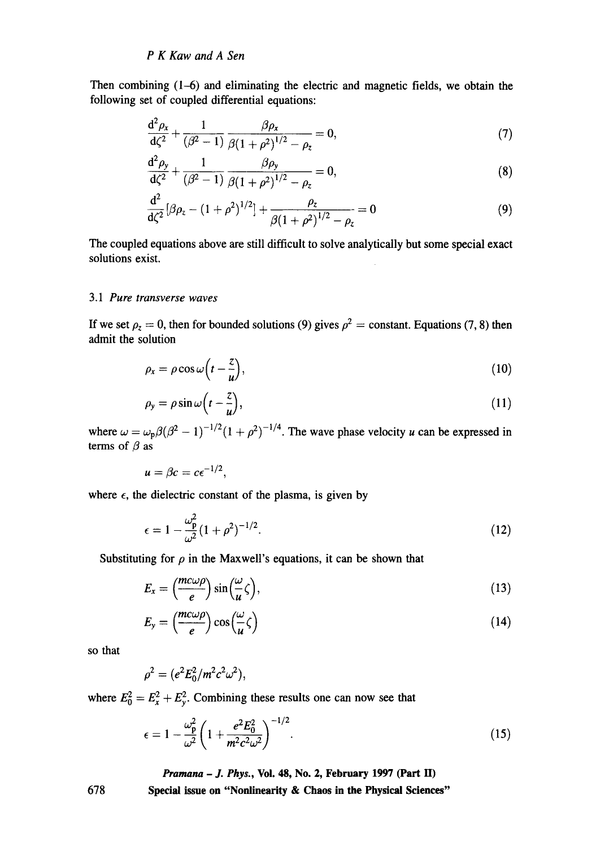Then combining  $(1-6)$  and eliminating the electric and magnetic fields, we obtain the following set of coupled differential equations:

$$
\frac{d^2 \rho_x}{d\zeta^2} + \frac{1}{(\beta^2 - 1)} \frac{\beta \rho_x}{\beta (1 + \rho^2)^{1/2} - \rho_z} = 0,
$$
\n(7)

$$
\frac{d^2 \rho_y}{d\zeta^2} + \frac{1}{(\beta^2 - 1)} \frac{\beta \rho_y}{\beta (1 + \rho^2)^{1/2} - \rho_z} = 0,
$$
\n(8)

$$
\frac{d^2}{d\zeta^2} [\beta \rho_z - (1+\rho^2)^{1/2}] + \frac{\rho_z}{\beta (1+\rho^2)^{1/2} - \rho_z} = 0 \tag{9}
$$

The coupled equations above are still difficult to solve analytically but some special exact solutions exist.

# *3.1 Pure transverse waves*

If we set  $\rho_z = 0$ , then for bounded solutions (9) gives  $\rho^2 =$  constant. Equations (7, 8) then admit the solution

$$
\rho_x = \rho \cos \omega \left( t - \frac{z}{u} \right),\tag{10}
$$

$$
\rho_y = \rho \sin \omega \left( t - \frac{z}{u} \right),\tag{11}
$$

where  $\omega = \omega_p \beta (\beta^2 - 1)^{-1/2} (1 + \rho^2)^{-1/4}$ . The wave phase velocity u can be expressed in terms of  $\beta$  as

$$
u=\beta c=c\epsilon^{-1/2},
$$

where  $\epsilon$ , the dielectric constant of the plasma, is given by

$$
\epsilon = 1 - \frac{\omega_{\rm p}^2}{\omega^2} (1 + \rho^2)^{-1/2}.
$$
 (12)

Substituting for  $\rho$  in the Maxwell's equations, it can be shown that

$$
E_x = \left(\frac{mc\omega\rho}{e}\right)\sin\left(\frac{\omega}{u}\zeta\right),\tag{13}
$$

$$
E_{y} = \left(\frac{mc\omega\rho}{e}\right)\cos\left(\frac{\omega}{u}\zeta\right) \tag{14}
$$

so that

$$
\rho^2 = (e^2 E_0^2 / m^2 c^2 \omega^2),
$$

where  $E_0^2 = E_x^2 + E_y^2$ . Combining these results one can now see that

$$
\epsilon = 1 - \frac{\omega_{\rm p}^2}{\omega^2} \left( 1 + \frac{e^2 E_0^2}{m^2 c^2 \omega^2} \right)^{-1/2}.
$$
 (15)

*Pramana - J. Phys.,* **Voi. 48, No. 2, February 1997 (Part II)** 

**Special issue on "Nonlinearity & Chaos in the Physical Sciences"**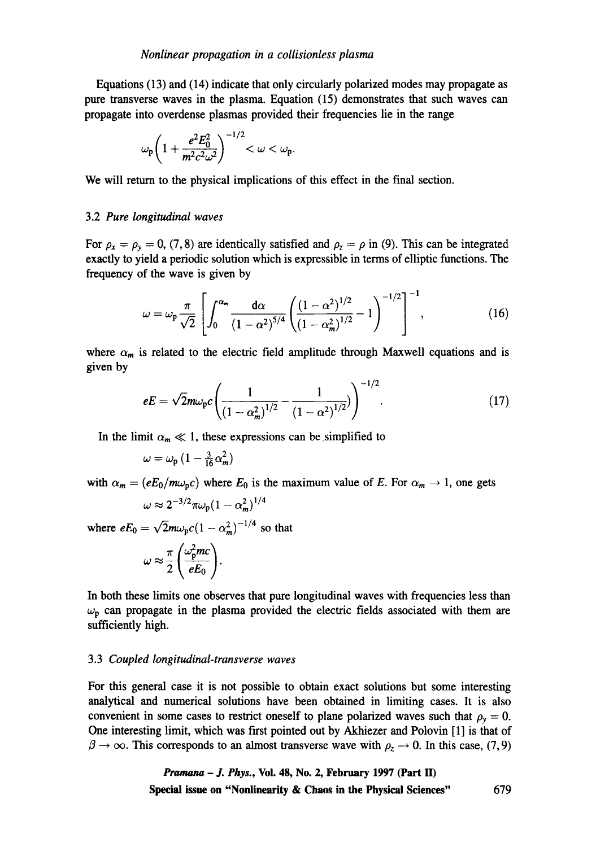Equations (13) and (14) indicate that only circularly polarized modes may propagate as pure transverse waves in the plasma. Equation (15) demonstrates that such waves can propagate into overdense plasmas provided their frequencies lie in the range

$$
\omega_{\rm p} \bigg( 1 + \frac{e^2 E_0^2}{m^2 c^2 \omega^2} \bigg)^{-1/2} < \omega < \omega_{\rm p}.
$$

We will return to the physical implications of this effect in the final section.

#### 3.2 *Pure longitudinal waves*

For  $\rho_x = \rho_y = 0$ , (7, 8) are identically satisfied and  $\rho_z = \rho$  in (9). This can be integrated exactly to yield a periodic solution which is expressible in terms of elliptic functions. The frequency of the wave is given by

$$
\omega = \omega_p \frac{\pi}{\sqrt{2}} \left[ \int_0^{\alpha_m} \frac{d\alpha}{(1 - \alpha^2)^{5/4}} \left( \frac{(1 - \alpha^2)^{1/2}}{(1 - \alpha_m^2)^{1/2}} - 1 \right)^{-1/2} \right]^{-1}, \tag{16}
$$

where  $\alpha_m$  is related to the electric field amplitude through Maxwell equations and is given by

$$
eE = \sqrt{2}m\omega_{\text{p}}c\left(\frac{1}{\left(1-\alpha_m^2\right)^{1/2}} - \frac{1}{\left(1-\alpha^2\right)^{1/2}}\right)^{-1/2}.
$$
 (17)

 $\overline{a}$ 

In the limit  $\alpha_m \ll 1$ , these expressions can be simplified to

$$
\omega = \omega_{\rm p} \left( 1 - \frac{3}{16} \alpha_m^2 \right)
$$

with  $\alpha_m = (eE_0/m\omega_p c)$  where  $E_0$  is the maximum value of E. For  $\alpha_m \to 1$ , one gets  $\omega \approx 2^{-3/2} \pi \omega_{\rm p} (1 - \alpha_{\rm m}^2)^{1/4}$ 

where 
$$
eE_0 = \sqrt{2}m\omega_p c (1 - \alpha_m^2)^{-1/4}
$$
 so that

$$
\omega \approx \frac{\pi}{2} \left( \frac{\omega_{\rm p}^2 mc}{eE_0} \right).
$$

In both these limits one observes that pure longitudinal waves with frequencies less than  $\omega_p$  can propagate in the plasma provided the electric fields associated with them are sufficiently high.

#### 3.3 *Coupled longitudinal-transverse waves*

For this general case it is not possible to obtain exact solutions but some interesting analytical and numerical solutions have been obtained in limiting cases. It is also convenient in some cases to restrict oneself to plane polarized waves such that  $\rho_{y} = 0$ . One interesting limit, which was first pointed out by Akhiezer and Polovin [1] is that of  $\beta \rightarrow \infty$ . This corresponds to an almost transverse wave with  $\rho_z \rightarrow 0$ . In this case, (7, 9)

> *Pramana - J. Phys.,* **Vol. 48, No. 2, February 1997 (Part H) Special issue on "Nonlinearity & Chaos in the Physical Sciences"** 679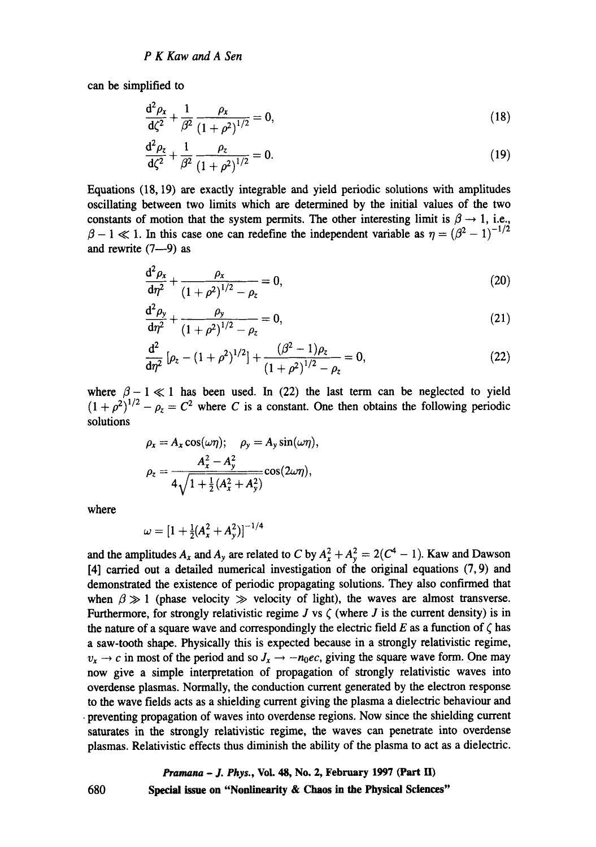can be simplified to

$$
\frac{d^2 \rho_x}{d\zeta^2} + \frac{1}{\beta^2} \frac{\rho_x}{(1+\rho^2)^{1/2}} = 0,
$$
\n(18)

$$
\frac{d^2 \rho_z}{d\zeta^2} + \frac{1}{\beta^2} \frac{\rho_z}{(1 + \rho^2)^{1/2}} = 0.
$$
 (19)

Equations (18, 19) are exactly integrable and yield periodic solutions with amplitudes oscillating between two limits which are determined by the initial values of the two constants of motion that the system permits. The other interesting limit is  $\beta \rightarrow 1$ , i.e.,  $\beta - 1 \ll 1$ . In this case one can redefine the independent variable as  $\eta = (\beta^2 - 1)^{-1/2}$ and rewrite  $(7-9)$  as

$$
\frac{d^2 \rho_x}{d\eta^2} + \frac{\rho_x}{(1+\rho^2)^{1/2} - \rho_z} = 0,
$$
\n(20)

$$
\frac{d^2 \rho_y}{d\eta^2} + \frac{\rho_y}{\left(1 + \rho^2\right)^{1/2} - \rho_z} = 0,
$$
\n(21)

$$
\frac{d^2}{d\eta^2} \left[ \rho_z - (1 + \rho^2)^{1/2} \right] + \frac{(\beta^2 - 1)\rho_z}{(1 + \rho^2)^{1/2} - \rho_z} = 0, \tag{22}
$$

where  $\beta - 1 \ll 1$  has been used. In (22) the last term can be neglected to yield  $(1+\rho^2)^{1/2} - \rho_z = C^2$  where C is a constant. One then obtains the following periodic solutions

$$
\rho_x = A_x \cos(\omega \eta); \quad \rho_y = A_y \sin(\omega \eta),
$$

$$
\rho_z = \frac{A_x^2 - A_y^2}{4\sqrt{1 + \frac{1}{2}(A_x^2 + A_y^2)}} \cos(2\omega \eta),
$$

where

$$
\omega = [1 + \frac{1}{2}(A_x^2 + A_y^2)]^{-1/4}
$$

and the amplitudes  $A_x$  and  $A_y$  are related to C by  $A_x^2 + A_y^2 = 2(C^4 - 1)$ . Kaw and Dawson [4] carried out a detailed numerical investigation of the original equations (7, 9) and demonstrated the existence of periodic propagating solutions. They also confirmed that when  $\beta \gg 1$  (phase velocity  $\gg$  velocity of light), the waves are almost transverse. Furthermore, for strongly relativistic regime J vs  $\zeta$  (where J is the current density) is in the nature of a square wave and correspondingly the electric field E as a function of  $\zeta$  has a saw-tooth shape. Physically this is expected because in a strongly relativistic regime,  $v_x \rightarrow c$  in most of the period and so  $J_x \rightarrow -n_0ec$ , giving the square wave form. One may now give a simple interpretation of propagation of strongly relativistic waves into overdense plasmas. Normally, the conduction current generated by the electron response to the wave fields acts as a shielding current giving the plasma a dielectric behaviour and • preventing propagation of waves into overdense regions. Now since the shielding current saturates in the strongly relativistic regime, the waves can penetrate into overdense plasmas. Relativistic effects thus diminish the ability of the plasma to act as a dielectric.

# *Pramana - J. Phys.,* **Vol. 48, No. 2, February 1997 (Part H) 680 Special issue on "Nonlinearity & Chaos in the Physical Sciences"**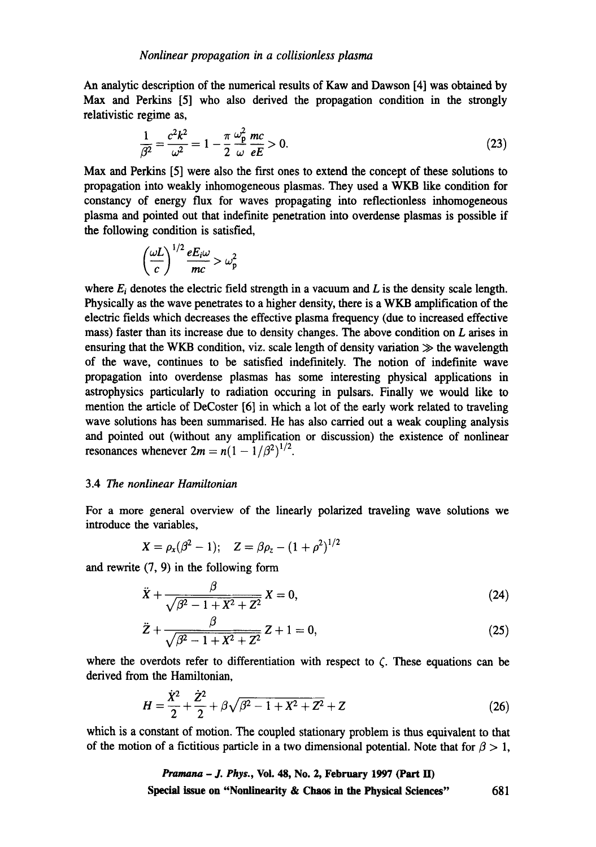An analytic description of the numerical results of Kaw and Dawson [4] was obtained by Max and Perkins [5] who also derived the propagation condition in the strongly relativistic regime as,

$$
\frac{1}{\beta^2} = \frac{c^2 k^2}{\omega^2} = 1 - \frac{\pi}{2} \frac{\omega_{\rm p}^2}{\omega} \frac{mc}{eE} > 0.
$$
 (23)

Max and Perkins [5] were also the first ones to extend the concept of these solutions to propagation into weakly inhomogeneous plasmas. They used a WKB like condition for constancy of energy flux for waves propagating into reflectionless inhomogeneous plasma and pointed out that indefinite penetration into overdense plasmas is possible if the following condition is satisfied,

$$
\left(\frac{\omega L}{c}\right)^{1/2} \frac{eE_i \omega}{mc} > \omega_p^2
$$

where  $E_i$  denotes the electric field strength in a vacuum and L is the density scale length. Physically as the wave penetrates to a higher density, there is a WKB amplification of the electric fields which decreases the effective plasma frequency (due to increased effective mass) faster than its increase due to density changes. The above condition on L arises in ensuring that the WKB condition, viz. scale length of density variation  $\gg$  the wavelength of the wave, continues to be satisfied indefinitely. The notion of indefinite wave propagation into overdense plasmas has some interesting physical applications in astrophysics particularly to radiation occuring in pulsars. Finally we would like to mention the article of DeCoster [6] in which a lot of the early work related to traveling wave solutions has been summarised. He has also carried out a weak coupling analysis and pointed out (without any amplification or discussion) the existence of nonlinear resonances whenever  $2m = n(1 - 1/\beta^2)^{1/2}$ .

# 3.4 The *nonlinear Hamiltonian*

For a more general overview of the linearly polarized traveling wave solutions we introduce the variables,

$$
X = \rho_x(\beta^2 - 1); \quad Z = \beta \rho_z - (1 + \rho^2)^{1/2}
$$

and rewrite (7, 9) in the following form

$$
\ddot{X} + \frac{\beta}{\sqrt{\beta^2 - 1 + X^2 + Z^2}} X = 0,
$$
\n(24)

$$
\ddot{Z} + \frac{\beta}{\sqrt{\beta^2 - 1 + X^2 + Z^2}} Z + 1 = 0,
$$
\n(25)

where the overdots refer to differentiation with respect to  $\zeta$ . These equations can be derived from the Hamiltonian,

$$
H = \frac{\dot{X}^2}{2} + \frac{\dot{Z}^2}{2} + \beta \sqrt{\beta^2 - 1 + X^2 + Z^2} + Z \tag{26}
$$

which is a constant of motion. The coupled stationary problem is thus equivalent to that of the motion of a fictitious particle in a two dimensional potential. Note that for  $\beta > 1$ ,

> *Pramana - J. Phys.,* **Voi. 48, No. 2, February 1997 (Part lI) Special issue on "Nonlinearity & Chaos in the Physical Sciences"** 681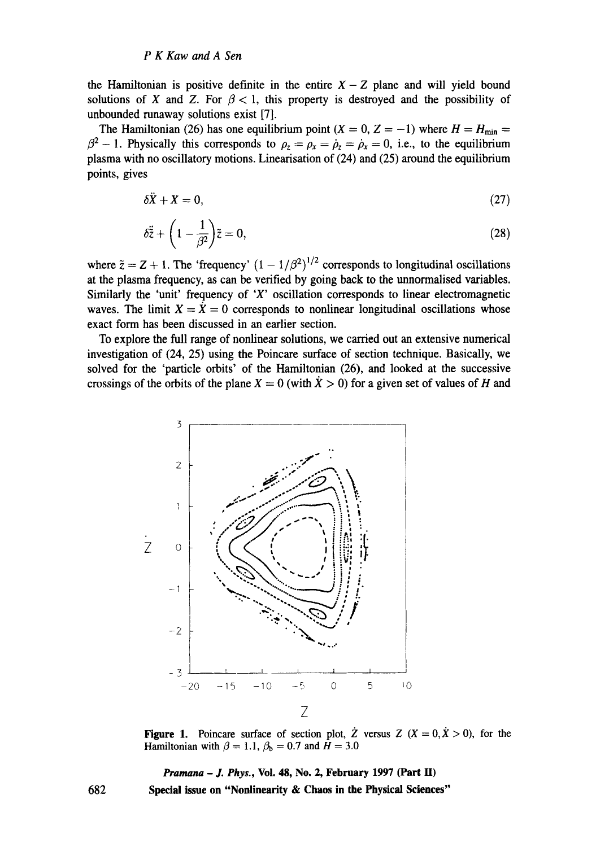the Hamiltonian is positive definite in the entire  $X-Z$  plane and will yield bound solutions of X and Z. For  $\beta < 1$ , this property is destroyed and the possibility of unbounded runaway solutions exist [7].

The Hamiltonian (26) has one equilibrium point ( $X = 0$ ,  $Z = -1$ ) where  $H = H_{min} =$  $\beta^2$  – 1. Physically this corresponds to  $\rho_z = \rho_x = \dot{\rho}_z = \dot{\rho}_x = 0$ , i.e., to the equilibrium plasma with no oscillatory motions. Linearisation of  $(24)$  and  $(25)$  around the equilibrium points, gives

$$
\delta \ddot{X} + X = 0,\tag{27}
$$

$$
\delta \ddot{\tilde{z}} + \left(1 - \frac{1}{\beta^2}\right) \tilde{z} = 0, \tag{28}
$$

where  $\tilde{z} = Z + 1$ . The 'frequency'  $(1 - 1/\beta^2)^{1/2}$  corresponds to longitudinal oscillations at the plasma frequency, as can be verified by going back to the unnormalised variables. Similarly the 'unit' frequency of 'X' oscillation corresponds to linear electromagnetic waves. The limit  $X = X = 0$  corresponds to nonlinear longitudinal oscillations whose exact form has been discussed in an earlier section.

To explore the full range of nonlinear solutions, we carried out an extensive numerical investigation of (24, 25) using the Poincare surface of section technique. Basically, we solved for the 'particle orbits' of the Hamiltonian (26), and looked at the successive crossings of the orbits of the plane  $X = 0$  (with  $X > 0$ ) for a given set of values of H and



Figure 1. Poincare surface of section plot,  $\dot{Z}$  versus  $Z$  ( $X = 0, \dot{X} > 0$ ), for the Hamiltonian with  $\beta = 1.1, ~ \beta_b = 0.7$  and  $H = 3.0$ 

*Pramana - J. Phys.,* **Vol. 48, No. 2, February 1997 (Part H) Special issue on "Nonlinearity & Chaos in the Physical Sciences"**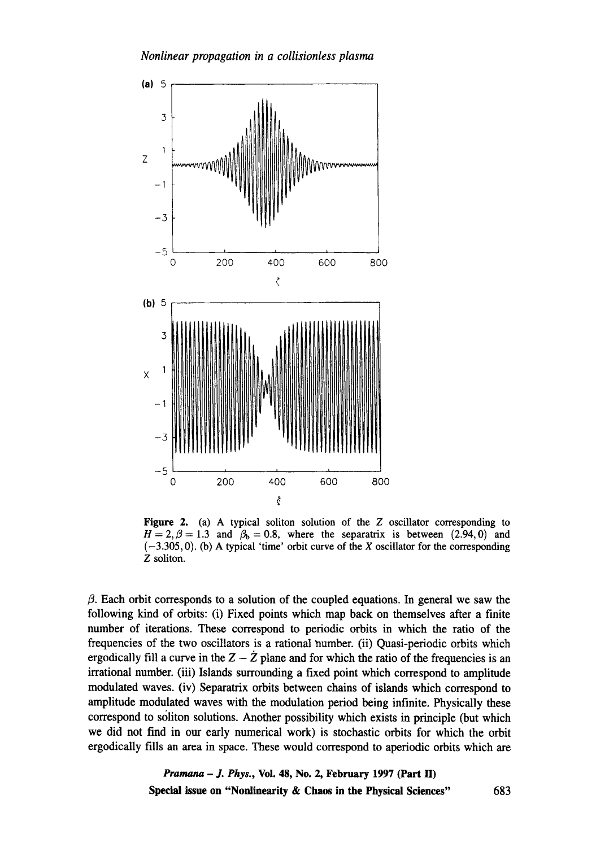

**Figure 2. (a) A** typical soliton solution of the Z oscillator corresponding to  $H = 2, \beta = 1.3$  and  $\beta_b = 0.8$ , where the separatrix is between (2.94,0) and  $(-3.305, 0)$ . (b) A typical 'time' orbit curve of the X oscillator for the corresponding Z soliton.

 $\beta$ . Each orbit corresponds to a solution of the coupled equations. In general we saw the following kind of orbits: (i) Fixed points which map back on themselves after a finite number of iterations. These correspond to periodic orbits in which the ratio of the frequencies of the two oscillators is a rational number. (ii) Quasi-periodic orbits which ergodically fill a curve in the  $Z - \tilde{Z}$  plane and for which the ratio of the frequencies is an irrational number. (iii) Islands surrounding a fixed point which correspond to amplitude modulated waves. (iv) Separatrix orbits between chains of islands which correspond to amplitude modulated waves with the modulation period being infinite. Physically these correspond to soliton solutions. Another possibility which exists in principle (but which we did not find in our early numerical work) is stochastic orbits for which the orbit ergodically fills an area in space. These would correspond to aperiodic orbits which are

> *Pramana - J. Phys.,* **Voi. 48, No. 2, February 1997 (Part H) Special issue on "Nonlinearity & Chaos in the Physical Sciences"** 683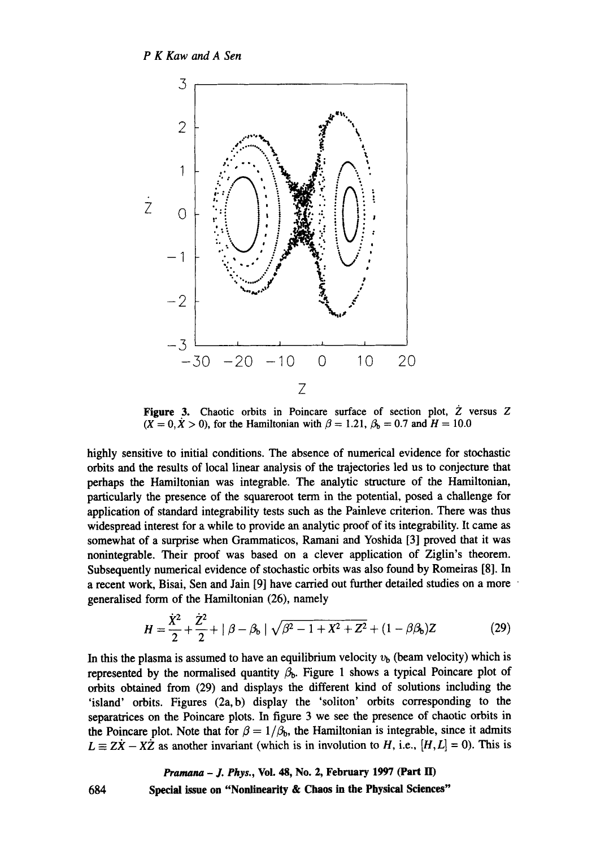

Figure 3. Chaotic orbits in Poincare surface of section plot, Z versus Z  $(X = 0, X > 0)$ , for the Hamiltonian with  $\beta = 1.21$ ,  $\beta_b = 0.7$  and  $H = 10.0$ 

highly sensitive to initial conditions. The absence of numerical evidence for stochastic orbits and the results of local linear analysis of the trajectories led us to conjecture that perhaps the Hamiltonian was integrable. The analytic structure of the Hamiltonian, particularly the presence of the squareroot term in the potential, posed a challenge for application of standard integrability tests such as the Painleve criterion. There was thus widespread interest for a while to provide an analytic proof of its integrability. It came as somewhat of a surprise when Grammaticos, Ramani and Yoshida [3] proved that it was nonintegrable. Their proof was based on a clever application of Ziglin's theorem. Subsequently numerical evidence of stochastic orbits was also found by Romeiras [8]. In a recent work, Bisai, Sen and Jain [9] have carried out further detailed studies on a more generalised form of the Hamiltonian (26), namely

$$
H = \frac{\dot{X}^2}{2} + \frac{\dot{Z}^2}{2} + |\beta - \beta_b| \sqrt{\beta^2 - 1 + X^2 + Z^2} + (1 - \beta \beta_b) Z
$$
 (29)

In this the plasma is assumed to have an equilibrium velocity  $v<sub>b</sub>$  (beam velocity) which is represented by the normalised quantity  $\beta_{b}$ . Figure 1 shows a typical Poincare plot of orbits obtained from (29) and displays the different kind of solutions including the 'island' orbits. Figures (2a, b) display the 'soliton' orbits corresponding to the separatrices on the Poincare plots. In figure 3 we see the presence of chaotic orbits in the Poincare plot. Note that for  $\beta = 1/\beta_h$ , the Hamiltonian is integrable, since it admits  $L = \overline{ZX} - X\overline{Z}$  as another invariant (which is in involution to H, i.e.,  $[H, L] = 0$ ). This is

> *Pramana - J. Phys.,* **Vol. 48, No. 2, February 1997 (Part ID Special issue on "Nonlinearity & Chaos in the Physical Sciences"**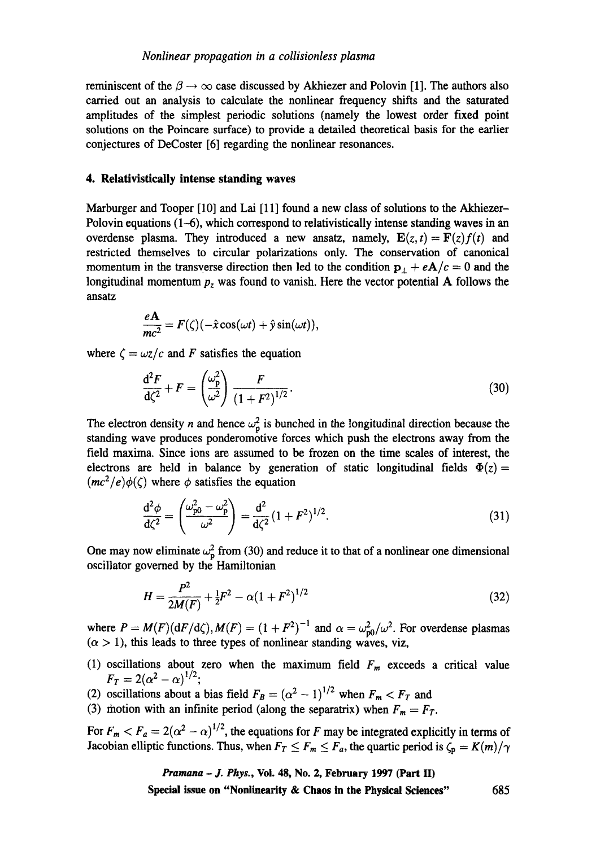reminiscent of the  $\beta \rightarrow \infty$  case discussed by Akhiezer and Polovin [1]. The authors also carried out an analysis to calculate the nonlinear frequency shifts and the saturated amplitudes of the simplest periodic solutions (namely the lowest order fixed point solutions on the Poincare surface) to provide a detailed theoretical basis for the earlier conjectures of DeCoster [6] regarding the nonlinear resonances.

# 4. Relativistically **intense standing waves**

Marburger and Tooper [10] and Lai [11] found a new class of solutions to the Akhiezer-Polovin equations (1-6), which correspond to relativistically intense standing waves in an overdense plasma. They introduced a new ansatz, namely,  $E(z, t) = F(z) f(t)$  and restricted themselves to circular polarizations only. The conservation of canonical momentum in the transverse direction then led to the condition  $p_\perp + eA/c = 0$  and the longitudinal momentum *Pz* was found to vanish. Here the vector potential A follows the ansatz

$$
\frac{e\mathbf{A}}{mc^2}=F(\zeta)(-\hat{x}\cos(\omega t)+\hat{y}\sin(\omega t)),
$$

where  $\zeta = \omega z/c$  and F satisfies the equation

$$
\frac{d^2F}{d\zeta^2} + F = \left(\frac{\omega_p^2}{\omega^2}\right) \frac{F}{\left(1 + F^2\right)^{1/2}}.
$$
\n(30)

The electron density n and hence  $\omega_p^2$  is bunched in the longitudinal direction because the standing wave produces ponderomotive forces which push the electrons away from the field maxima. Since ions are assumed to be frozen on the time scales of interest, the electrons are held in balance by generation of static longitudinal fields  $\Phi(z)$  =  $(mc^2/e)\phi(\zeta)$  where  $\phi$  satisfies the equation

$$
\frac{d^2 \phi}{d\zeta^2} = \left(\frac{\omega_{p0}^2 - \omega_p^2}{\omega^2}\right) = \frac{d^2}{d\zeta^2} (1 + F^2)^{1/2}.
$$
 (31)

One may now eliminate  $\omega_p^2$  from (30) and reduce it to that of a nonlinear one dimensional oscillator governed by the Hamiltonian

$$
H = \frac{P^2}{2M(F)} + \frac{1}{2}F^2 - \alpha(1 + F^2)^{1/2}
$$
\n(32)

where  $P = M(F)(dF/d\zeta), M(F) = (1 + F^2)^{-1}$  and  $\alpha = \omega_{\text{p0}}^2/\omega^2$ . For overdense plasmas  $(\alpha > 1)$ , this leads to three types of nonlinear standing waves, viz,

- (1) oscillations about zero when the maximum field  $F_m$  exceeds a critical value  $F_T = 2(\alpha^2 - \alpha)^{1/2};$
- (2) oscillations about a bias field  $F_B = (\alpha^2 1)^{1/2}$  when  $F_m < F_T$  and
- (3) motion with an infinite period (along the separatrix) when  $F_m = F_T$ .

For  $F_m < F_a = 2(\alpha^2 - \alpha)^{1/2}$ , the equations for F may be integrated explicitly in terms of Jacobian elliptic functions. Thus, when  $F_T \leq F_m \leq F_a$ , the quartic period is  $\zeta_p = K(m)/\gamma$ 

*Pramana - J. Phys.,* **Voi. 48, No. 2, February 1997 (Part H)** 

**Special issue on "Nonlinearity & Chaos in the Physical Sciences"** 685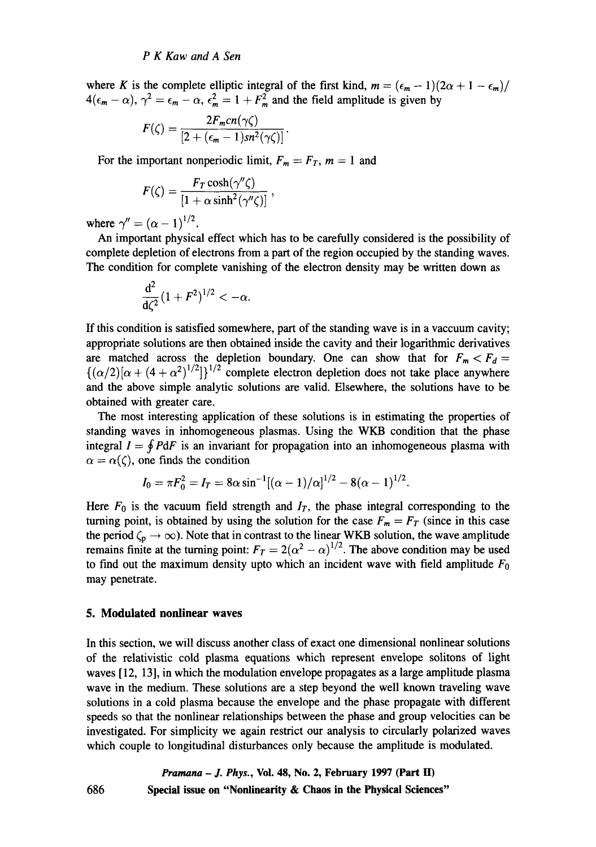where K is the complete elliptic integral of the first kind,  $m = (\epsilon_m - 1)(2\alpha + 1 - \epsilon_m)/$  $4(\epsilon_m - \alpha)$ ,  $\gamma^2 = \epsilon_m - \alpha$ ,  $\epsilon_m^2 = 1 + F_m^2$  and the field amplitude is given by

$$
F(\zeta)=\frac{2F_{m}cn(\gamma\zeta)}{\left[2+(\epsilon_{m}-1)sn^{2}(\gamma\zeta)\right]}.
$$

For the important nonperiodic limit,  $F_m = F_T$ ,  $m = 1$  and

$$
F(\zeta) = \frac{F_T \cosh(\gamma''\zeta)}{[1 + \alpha \sinh^2(\gamma''\zeta)]},
$$

where  $\gamma'' = (\alpha - 1)^{1/2}$ .

An important physical effect which has to be carefully considered is the possibility of complete depletion of electrons from a part of the region occupied by the standing waves. The condition for complete vanishing of the electron density may be written down as

$$
\frac{d^2}{d\zeta^2}(1+F^2)^{1/2} < -\alpha.
$$

If this condition is satisfied somewhere, part of the standing wave is in a vaccuum cavity; appropriate solutions are then obtained inside the cavity and their logarithmic derivatives are matched across the depletion boundary. One can show that for  $F_m < F_d$  =  ${[(\alpha/2)]\alpha + (4+\alpha^2)^{1/2}]}\}^{1/2}$  complete electron depletion does not take place anywhere and the above simple analytic solutions are valid. Elsewhere, the solutions have to be obtained with greater care.

The most interesting application of these solutions is in estimating the properties of standing waves in inhomogeneous plasmas. Using the WKB condition that the phase integral  $I = \oint P dF$  is an invariant for propagation into an inhomogeneous plasma with  $\alpha = \alpha(\zeta)$ , one finds the condition

$$
I_0 = \pi F_0^2 = I_T = 8\alpha \sin^{-1}[(\alpha - 1)/\alpha]^{1/2} - 8(\alpha - 1)^{1/2}.
$$

Here  $F_0$  is the vacuum field strength and  $I_T$ , the phase integral corresponding to the turning point, is obtained by using the solution for the case  $F_m = F_T$  (since in this case the period  $\zeta_p \to \infty$ ). Note that in contrast to the linear WKB solution, the wave amplitude remains finite at the turning point:  $F_T = 2(\alpha^2 - \alpha)^{1/2}$ . The above condition may be used to find out the maximum density upto which an incident wave with field amplitude  $F_0$ may penetrate.

#### **5. Modulated nonlinear waves**

686

In this section, we will discuss another class of exact one dimensional nonlinear solutions of the relativistic cold plasma equations which represent envelope solitons of light waves [12, 13], in which the modulation envelope propagates as a large amplitude plasma wave in the medium. These solutions are a step beyond the well known traveling wave solutions in a cold plasma because the envelope and the phase propagate with different speeds so that the nonlinear relationships between the phase and group velocities can be investigated. For simplicity we again restrict our analysis to circularly polarized waves which couple to longitudinal disturbances only because the amplitude is modulated.

*Pramana - J. Phys.,* **Vol. 48, No. 2, February 1997 (Part H) Special issue on "Nonlinearity & Chaos in the Physical Sciences"**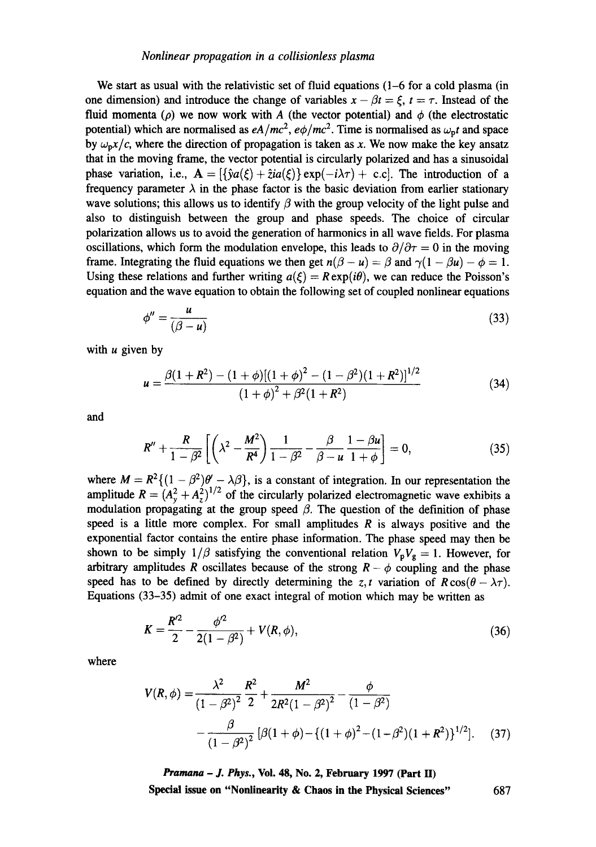#### *Nonlinear propagation in a collisionless plasma*

We start as usual with the relativistic set of fluid equations (1-6 for a cold plasma (in one dimension) and introduce the change of variables  $x - \beta t = \xi$ ,  $t = \tau$ . Instead of the fluid momenta ( $\rho$ ) we now work with A (the vector potential) and  $\phi$  (the electrostatic potential) which are normalised as  $eA/mc^2$ ,  $e\phi/mc^2$ . Time is normalised as  $\omega_p t$  and space by  $\omega_p x/c$ , where the direction of propagation is taken as x. We now make the key ansatz that in the moving frame, the vector potential is circularly polarized and has a sinusoidal phase variation, i.e.,  $\mathbf{A} = [\{\hat{y}a(\xi) + \hat{z}ia(\xi)\}\exp(-i\lambda\tau) + \text{c.c}]$ . The introduction of a frequency parameter  $\lambda$  in the phase factor is the basic deviation from earlier stationary wave solutions; this allows us to identify  $\beta$  with the group velocity of the light pulse and also to distinguish between the group and phase speeds. The choice of circular polarization allows us to avoid the generation of harmonics in all wave fields. For plasma oscillations, which form the modulation envelope, this leads to  $\partial/\partial \tau = 0$  in the moving frame. Integrating the fluid equations we then get  $n(\beta - \mu) = \beta$  and  $\gamma(1 - \beta \mu) - \phi = 1$ . Using these relations and further writing  $a(\xi) = R \exp(i\theta)$ , we can reduce the Poisson's equation and the wave equation to obtain the following set of coupled nonlinear equations

$$
\phi'' = \frac{u}{(\beta - u)}\tag{33}
$$

with  $u$  given by

$$
u = \frac{\beta(1+R^2) - (1+\phi)\left[(1+\phi)^2 - (1-\beta^2)(1+R^2)\right]^{1/2}}{(1+\phi)^2 + \beta^2(1+R^2)}
$$
(34)

and

$$
R'' + \frac{R}{1 - \beta^2} \left[ \left( \lambda^2 - \frac{M^2}{R^4} \right) \frac{1}{1 - \beta^2} - \frac{\beta}{\beta - u} \frac{1 - \beta u}{1 + \phi} \right] = 0, \tag{35}
$$

where  $M = R^2 \{(1 - \beta^2)\theta' - \lambda \beta\}$ , is a constant of integration. In our representation the amplitude  $R = (A_x^2 + A_y^2)^{1/2}$  of the circularly polarized electromagnetic wave exhibits a modulation propagating at the group speed  $\beta$ . The question of the definition of phase speed is a little more complex. For small amplitudes  $R$  is always positive and the exponential factor contains the entire phase information. The phase speed may then be shown to be simply  $1/\beta$  satisfying the conventional relation  $V_pV_g = 1$ . However, for arbitrary amplitudes R oscillates because of the strong  $R - \phi$  coupling and the phase speed has to be defined by directly determining the z, t variation of  $R\cos(\theta - \lambda \tau)$ . Equations (33-35) admit of one exact integral of motion which may be written as

$$
K = \frac{R'^2}{2} - \frac{\phi'^2}{2(1 - \beta^2)} + V(R, \phi),
$$
\n(36)

where

$$
V(R, \phi) = \frac{\lambda^2}{(1 - \beta^2)^2} \frac{R^2}{2} + \frac{M^2}{2R^2(1 - \beta^2)^2} - \frac{\phi}{(1 - \beta^2)}
$$

$$
- \frac{\beta}{(1 - \beta^2)^2} [\beta(1 + \phi) - \{(1 + \phi)^2 - (1 - \beta^2)(1 + R^2)\}^{1/2}]. \tag{37}
$$

*Pramana - J. Phys.,* **Vol. 48, No. 2, February 1997 (Part H) Special issue on "Nonlinearity & Chaos in the Physical Sciences"** 687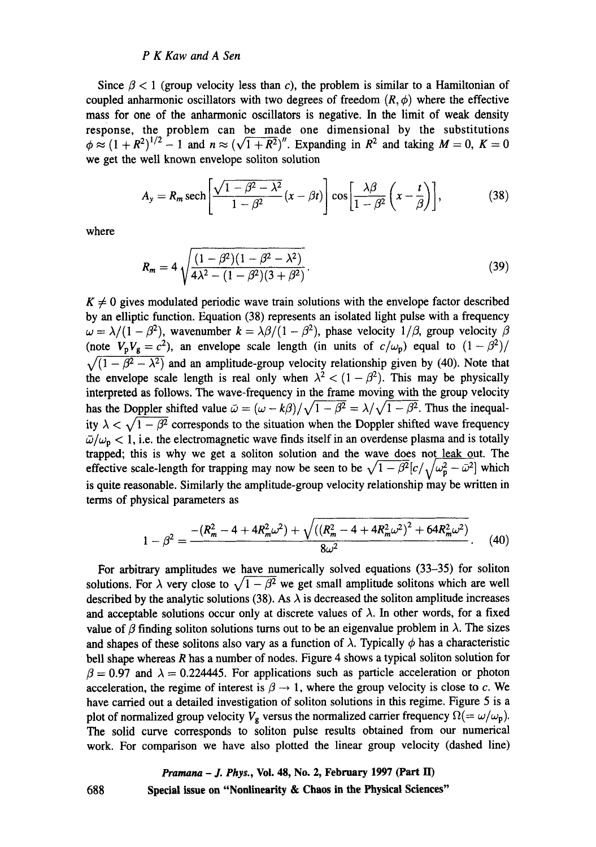#### *P K Kaw and A Sen*

Since  $\beta$  < 1 (group velocity less than c), the problem is similar to a Hamiltonian of coupled anharmonic oscillators with two degrees of freedom  $(R, \phi)$  where the effective mass for one of the anharmonic oscillators is negative. In the limit of weak density response, the problem can be made one dimensional by the substitutions  $\phi \approx (1 + R^2)^{1/2} - 1$  and  $n \approx (\sqrt{1 + R^2})^n$ . Expanding in  $R^2$  and taking  $M = 0$ ,  $K = 0$ we get the well known envelope soliton solution

$$
A_{y} = R_{m} \operatorname{sech}\left[\frac{\sqrt{1-\beta^{2}-\lambda^{2}}}{1-\beta^{2}}(x-\beta t)\right] \cos\left[\frac{\lambda\beta}{1-\beta^{2}}\left(x-\frac{t}{\beta}\right)\right],\tag{38}
$$

where

$$
R_m = 4\sqrt{\frac{(1-\beta^2)(1-\beta^2-\lambda^2)}{4\lambda^2-(1-\beta^2)(3+\beta^2)}}.
$$
\n(39)

 $K \neq 0$  gives modulated periodic wave train solutions with the envelope factor described by an elliptic function. Equation (38) represents an isolated light pulse with a frequency  $\omega = \lambda/(1 - \beta^2)$ , wavenumber  $k = \lambda \beta/(1 - \beta^2)$ , phase velocity  $1/\beta$ , group velocity  $\beta$ (note  $V_pV_g = c^2$ ), an envelope scale length (in units of  $c/\omega_p$ ) equal to  $(1-\beta^2)/$  $\sqrt{(1 - \beta^2 - \lambda^2)}$  and an amplitude-group velocity relationship given by (40). Note that the envelope scale length is real only when  $\lambda^2 < (1 - \beta^2)$ . This may be physically interpreted as follows. The wave-frequency in the frame moving with the group velocity has the Doppler shifted value  $\bar{\omega} = (\omega - k\beta)/\sqrt{1 - \beta^2} = \lambda/\sqrt{1 - \beta^2}$ . Thus the inequality  $\lambda < \sqrt{1-\beta^2}$  corresponds to the situation when the Doppler shifted wave frequency  $\bar{\omega}/\omega_{\rm p} < 1$ , i.e. the electromagnetic wave finds itself in an overdense plasma and is totally trapped; this is why we get a soliton solution and the wave does not leak out. The effective scale-length for trapping may now be seen to be  $\sqrt{1 - \beta^2} [c / \sqrt{\omega_p^2 - \bar{\omega}^2}]$  which is quite reasonable. Similarly the amplitude-group velocity relationship may be written in terms of physical parameters as

$$
1 - \beta^2 = \frac{-\left(R_m^2 - 4 + 4R_m^2\omega^2\right) + \sqrt{\left(\left(R_m^2 - 4 + 4R_m^2\omega^2\right)^2 + 64R_m^2\omega^2\right)}}{8\omega^2}.
$$
 (40)

For arbitrary amplitudes we have numerically solved equations (33-35) for soliton solutions. For  $\lambda$  very close to  $\sqrt{1 - \beta^2}$  we get small amplitude solitons which are well described by the analytic solutions (38). As  $\lambda$  is decreased the soliton amplitude increases and acceptable solutions occur only at discrete values of  $\lambda$ . In other words, for a fixed value of  $\beta$  finding soliton solutions turns out to be an eigenvalue problem in  $\lambda$ . The sizes and shapes of these solitons also vary as a function of  $\lambda$ . Typically  $\phi$  has a characteristic bell shape whereas  $R$  has a number of nodes. Figure 4 shows a typical soliton solution for  $\beta = 0.97$  and  $\lambda = 0.224445$ . For applications such as particle acceleration or photon acceleration, the regime of interest is  $\beta \rightarrow 1$ , where the group velocity is close to c. We have carried out a detailed investigation of soliton solutions in this regime. Figure 5 is a plot of normalized group velocity  $V_g$  versus the normalized carrier frequency  $\Omega (= \omega/\omega_p)$ . The solid curve corresponds to soliton pulse results obtained from our numerical work. For comparison we have also plotted the linear group velocity (dashed line)

# *Pramana - J. Phys.,* **Vol. 48, No. 2, February 1997 (Part lI) 688 Special issue on "Nonlinearity & Chaos in the Physical Sciences"**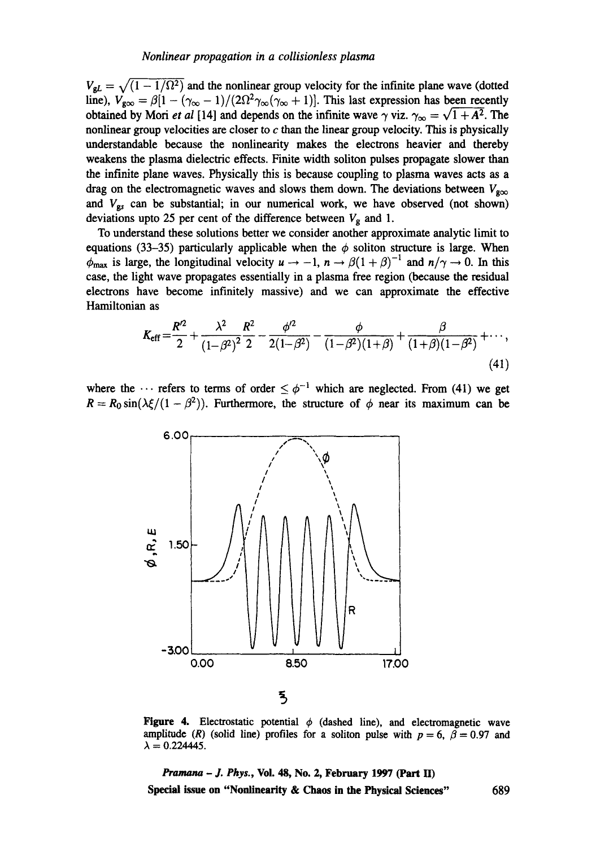$V_{gl} = \sqrt{(1 - 1/\Omega^2)}$  and the nonlinear group velocity for the infinite plane wave (dotted line),  $V_{\text{geo}} = \beta[1 - (\gamma_{\infty} - 1)/(2\Omega^2 \gamma_{\infty}(\gamma_{\infty} + 1)].$  This last expression has been recently obtained by Mori *et al* [14] and depends on the infinite wave  $\gamma$  viz.  $\gamma_{\infty} = \sqrt{1 + A^2}$ . The nonlinear group velocities are closer to  $c$  than the linear group velocity. This is physically understandable because the nonlinearity makes the electrons heavier and thereby weakens the plasma dielectric effects. Finite width soliton pulses propagate slower than the infinite plane waves. Physically this is because coupling to plasma waves acts as a drag on the electromagnetic waves and slows them down. The deviations between  $V_{\alpha\infty}$ and  $V_{gs}$  can be substantial; in our numerical work, we have observed (not shown) deviations upto 25 per cent of the difference between  $V_g$  and 1.

To understand these solutions better we consider another approximate analytic limit to equations (33-35) particularly applicable when the  $\phi$  soliton structure is large. When  $\phi_{\text{max}}$  is large, the longitudinal velocity  $u \to -1$ ,  $n \to \beta(1+\beta)^{-1}$  and  $n/\gamma \to 0$ . In this case, the light wave propagates essentially in a plasma free region (because the residual electrons have become infinitely massive) and we can approximate the effective Hamiltonian as

$$
K_{\rm eff} = \frac{R'^2}{2} + \frac{\lambda^2}{\left(1 - \beta^2\right)^2} \frac{R^2}{2} - \frac{\phi'^2}{2\left(1 - \beta^2\right)} - \frac{\phi}{\left(1 - \beta^2\right)\left(1 + \beta\right)} + \frac{\beta}{\left(1 + \beta\right)\left(1 - \beta^2\right)} + \cdots,
$$
\n(41)

where the  $\cdots$  refers to terms of order  $\leq \phi^{-1}$  which are neglected. From (41) we get  $R = R_0 \sin(\lambda \xi/(1 - \beta^2))$ . Furthermore, the structure of  $\phi$  near its maximum can be



Figure 4. Electrostatic potential  $\phi$  (dashed line), and electromagnetic wave amplitude (R) (solid line) profiles for a soliton pulse with  $p = 6$ ,  $\beta = 0.97$  and  $\lambda = 0.224445.$ 

*Pramana - J. Phys.,* **Vol. 48, No. 2, February 1997 (Part ID Special issue on "Nonlinearity & Chaos in the Physical Sciences"** 689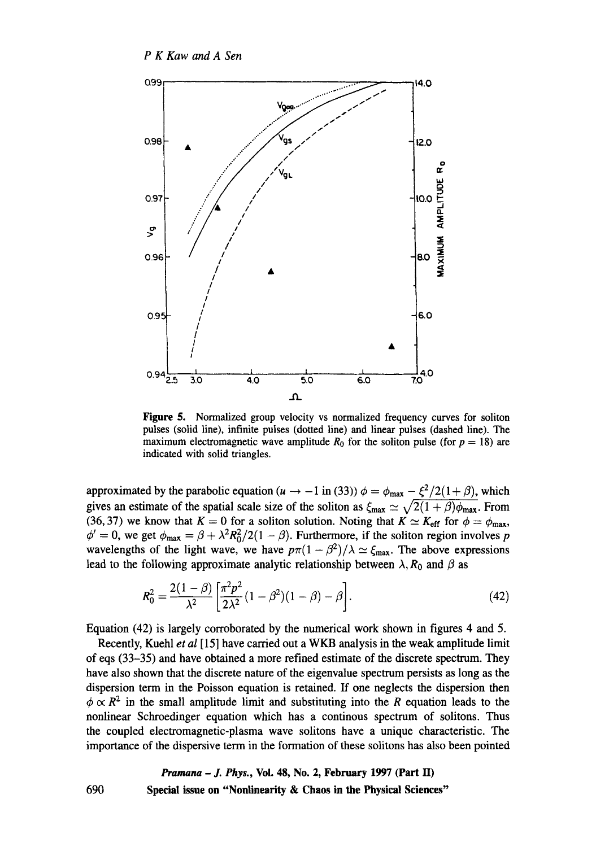*P K Kaw and A Sen* 



Figure 5. Normalized group velocity vs normalized frequency curves for soliton pulses (solid line), infinite pulses (dotted line) and linear pulses (dashed line). The maximum electromagnetic wave amplitude  $R_0$  for the soliton pulse (for  $p = 18$ ) are indicated with solid triangles.

approximated by the parabolic equation ( $u \rightarrow -1$  in (33))  $\phi = \phi_{\text{max}} - \xi^2/2(1 + \beta)$ , which gives an estimate of the spatial scale size of the soliton as  $\zeta_{\text{max}} \simeq \sqrt{2(1 + \beta)\phi_{\text{max}}}$ . From (36, 37) we know that  $K = 0$  for a soliton solution. Noting that  $K \simeq K_{\text{eff}}$  for  $\phi = \phi_{\text{max}}$ ,  $\phi' = 0$ , we get  $\phi_{\text{max}} = \beta + \lambda^2 R_0^2/2(1 - \beta)$ . Furthermore, if the soliton region involves p wavelengths of the light wave, we have  $p\pi(1 - \beta^2)/\lambda \simeq \xi_{\text{max}}$ . The above expressions lead to the following approximate analytic relationship between  $\lambda$ ,  $R_0$  and  $\beta$  as

$$
R_0^2 = \frac{2(1-\beta)}{\lambda^2} \left[ \frac{\pi^2 p^2}{2\lambda^2} (1-\beta^2)(1-\beta) - \beta \right].
$$
 (42)

Equation (42) is largely corroborated by the numerical work shown in figures 4 and 5.

Recently, Kuehl *et al* [15] have carried out a WKB analysis in the weak amplitude limit of eqs (33-35) and have obtained a more refined estimate of the discrete spectrum. They have also shown that the discrete nature of the eigenvalue spectrum persists as long as the dispersion term in the Poisson equation is retained. If one neglects the dispersion then  $\phi \propto R^2$  in the small amplitude limit and substituting into the R equation leads to the nonlinear Schroedinger equation which has a continous spectrum of solitons. Thus the coupled electromagnetic-plasma wave solitons have a unique characteristic. The importance of the dispersive term in the formation of these solitons has also been pointed

# *Pramana - J. Phys.,* **Vol. 48, No. 2, February 1997 (Part H) Special issue on "Nonlinearity & Chaos in the Physical Sciences"**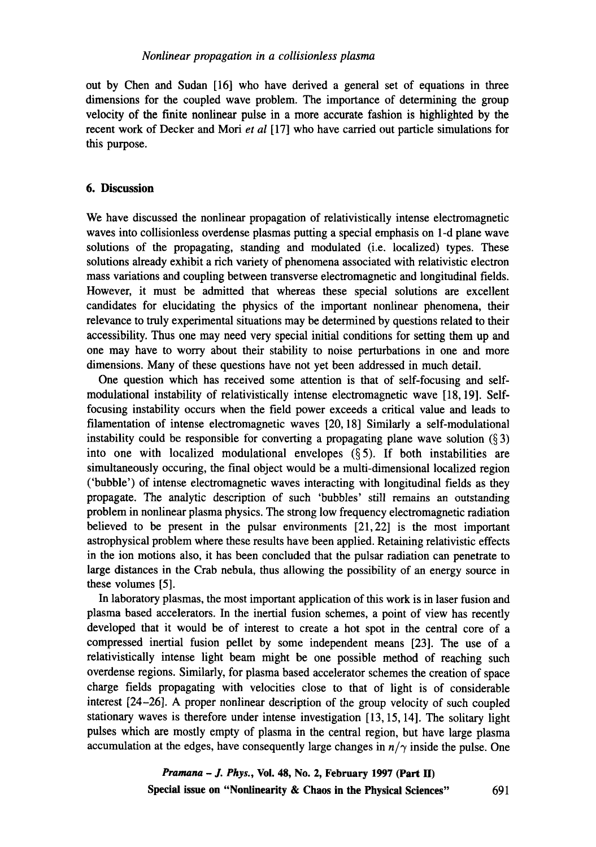out by Chen and Sudan [16] who have derived a general set of equations in three dimensions for the coupled wave problem. The importance of determining the group velocity of the finite nonlinear pulse in a more accurate fashion is highlighted by the recent work of Decker and Mori *et al* [17] who have carried out particle simulations for this purpose.

## **6. Discussion**

We have discussed the nonlinear propagation of relativistically intense electromagnetic waves into collisionless overdense plasmas putting a special emphasis on 1-d plane wave solutions of the propagating, standing and modulated (i.e. localized) types. These solutions already exhibit a rich variety of phenomena associated with relativistic electron mass variations and coupling between transverse electromagnetic and longitudinal fields. However, it must be admitted that whereas these special solutions are excellent candidates for elucidating the physics of the important nonlinear phenomena, their relevance to truly experimental situations may be determined by questions related to their accessibility. Thus one may need very special initial conditions for setting them up and one may have to worry about their stability to noise perturbations in one and more dimensions. Many of these questions have not yet been addressed in much detail.

One question which has received some attention is that of self-focusing and selfmodulational instability of relativistically intense electromagnetic wave [18, 19]. Selffocusing instability occurs when the field power exceeds a critical value and leads to filamentation of intense electromagnetic waves [20, 18] Similarly a self-modulational instability could be responsible for converting a propagating plane wave solution  $(\S 3)$ into one with localized modulational envelopes  $(\S 5)$ . If both instabilities are simultaneously occuring, the final object would be a multi-dimensional localized region ('bubble') of intense electromagnetic waves interacting with longitudinal fields as they propagate. The analytic description of such 'bubbles' still remains an outstanding problem in nonlinear plasma physics. The strong low frequency electromagnetic radiation believed to be present in the pulsar environments [21,22] is the most important astrophysical problem where these results have been applied. Retaining relativistic effects in the ion motions also, it has been concluded that the pulsar radiation can penetrate to large distances in the Crab nebula, thus allowing the possibility of an energy source in these volumes [5].

In laboratory plasmas, the most important application of this work is in laser fusion and plasma based accelerators. In the inertial fusion schemes, a point of view has recently developed that it would be of interest to create a hot spot in the central core of a compressed inertial fusion pellet by some independent means [23]. The use of a relativistically intense light beam might be one possible method of reaching such overdense regions. Similarly, for plasma based accelerator schemes the creation of space charge fields propagating with velocities close to that of light is of considerable interest [24-26]. A proper nonlinear description of the group velocity of such coupled stationary waves is therefore under intense investigation [13, 15, 14]. The solitary light pulses which are mostly empty of plasma in the central region, but have large plasma accumulation at the edges, have consequently large changes in  $n/\gamma$  inside the pulse. One

> *Pramana - J. Phys.,* **Vol. 48, No. 2, February 1997 (Part 1I) Special issue on "Nonlinearity & Chaos in the Physical Sciences"** 691